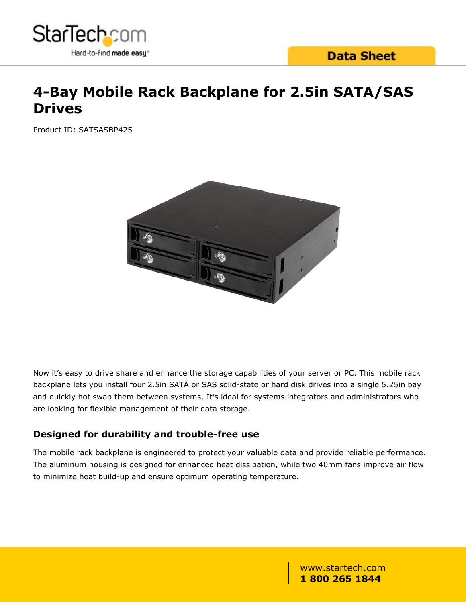

## **4-Bay Mobile Rack Backplane for 2.5in SATA/SAS Drives**

Product ID: SATSASBP425



Now it's easy to drive share and enhance the storage capabilities of your server or PC. This mobile rack backplane lets you install four 2.5in SATA or SAS solid-state or hard disk drives into a single 5.25in bay and quickly hot swap them between systems. It's ideal for systems integrators and administrators who are looking for flexible management of their data storage.

#### **Designed for durability and trouble-free use**

The mobile rack backplane is engineered to protect your valuable data and provide reliable performance. The aluminum housing is designed for enhanced heat dissipation, while two 40mm fans improve air flow to minimize heat build-up and ensure optimum operating temperature.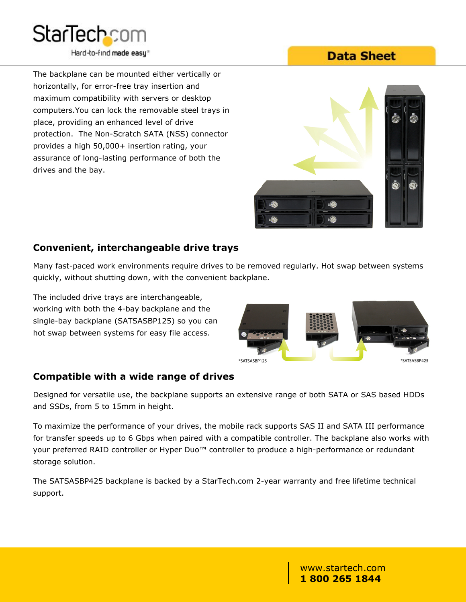

The backplane can be mounted either vertically or horizontally, for error-free tray insertion and maximum compatibility with servers or desktop computers.You can lock the removable steel trays in place, providing an enhanced level of drive protection. The Non-Scratch SATA (NSS) connector provides a high 50,000+ insertion rating, your assurance of long-lasting performance of both the drives and the bay.

## **Data Sheet**



#### **Convenient, interchangeable drive trays**

Many fast-paced work environments require drives to be removed regularly. Hot swap between systems quickly, without shutting down, with the convenient backplane.

The included drive trays are interchangeable, working with both the 4-bay backplane and the single-bay backplane (SATSASBP125) so you can hot swap between systems for easy file access.



#### **Compatible with a wide range of drives**

Designed for versatile use, the backplane supports an extensive range of both SATA or SAS based HDDs and SSDs, from 5 to 15mm in height.

To maximize the performance of your drives, the mobile rack supports SAS II and SATA III performance for transfer speeds up to 6 Gbps when paired with a compatible controller. The backplane also works with your preferred RAID controller or Hyper Duo™ controller to produce a high-performance or redundant storage solution.

The SATSASBP425 backplane is backed by a StarTech.com 2-year warranty and free lifetime technical support.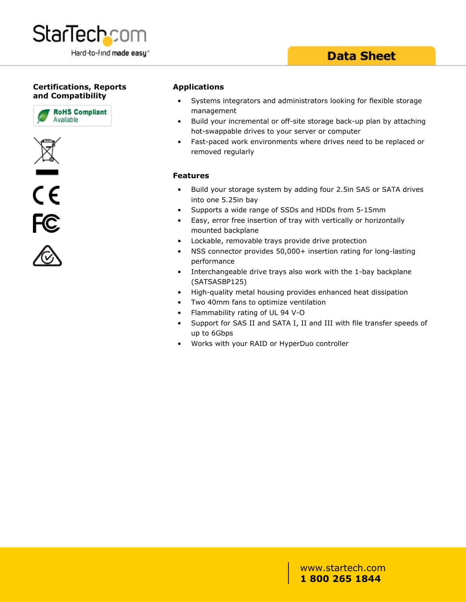

### **Data Sheet**

#### **Certifications, Reports and Compatibility**









#### **Applications**

- Systems integrators and administrators looking for flexible storage management
- Build your incremental or off-site storage back-up plan by attaching hot-swappable drives to your server or computer
- Fast-paced work environments where drives need to be replaced or removed regularly

#### **Features**

- Build your storage system by adding four 2.5in SAS or SATA drives into one 5.25in bay
- Supports a wide range of SSDs and HDDs from 5-15mm
- Easy, error free insertion of tray with vertically or horizontally mounted backplane
- Lockable, removable trays provide drive protection
- NSS connector provides 50,000+ insertion rating for long-lasting performance
- Interchangeable drive trays also work with the 1-bay backplane (SATSASBP125)
- High-quality metal housing provides enhanced heat dissipation
- Two 40mm fans to optimize ventilation
- Flammability rating of UL 94 V-O
- Support for SAS II and SATA I, II and III with file transfer speeds of up to 6Gbps
- Works with your RAID or HyperDuo controller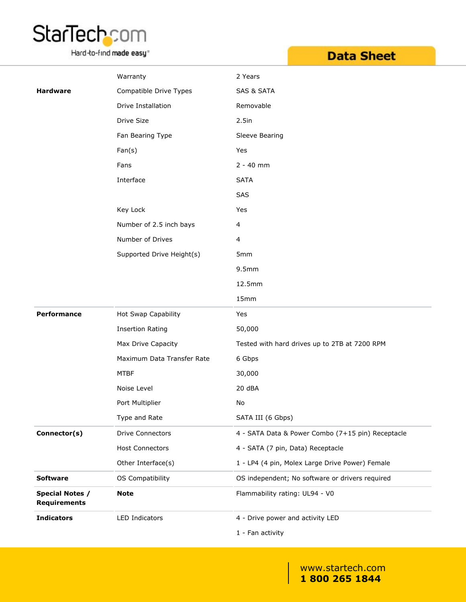

Hard-to-find made easy<sup>®</sup>

## **Data Sheet**

|                                               | Warranty                   | 2 Years                                           |  |
|-----------------------------------------------|----------------------------|---------------------------------------------------|--|
| <b>Hardware</b>                               | Compatible Drive Types     | <b>SAS &amp; SATA</b>                             |  |
|                                               | Drive Installation         | Removable                                         |  |
|                                               | Drive Size                 | 2.5in                                             |  |
|                                               | Fan Bearing Type           | Sleeve Bearing                                    |  |
|                                               | Fan(s)                     | Yes                                               |  |
|                                               | Fans                       | $2 - 40$ mm                                       |  |
|                                               | Interface                  | <b>SATA</b>                                       |  |
|                                               |                            | SAS                                               |  |
|                                               | Key Lock                   | Yes                                               |  |
|                                               | Number of 2.5 inch bays    | 4                                                 |  |
|                                               | Number of Drives           | $\overline{4}$                                    |  |
|                                               | Supported Drive Height(s)  | 5mm                                               |  |
|                                               |                            | 9.5mm                                             |  |
|                                               |                            | 12.5mm                                            |  |
|                                               |                            | 15mm                                              |  |
| <b>Performance</b>                            | Hot Swap Capability        | Yes                                               |  |
|                                               | <b>Insertion Rating</b>    | 50,000                                            |  |
|                                               | Max Drive Capacity         | Tested with hard drives up to 2TB at 7200 RPM     |  |
|                                               | Maximum Data Transfer Rate | 6 Gbps                                            |  |
|                                               | <b>MTBF</b>                | 30,000                                            |  |
|                                               | Noise Level                | 20 dBA                                            |  |
|                                               | Port Multiplier            | No                                                |  |
|                                               | Type and Rate              | SATA III (6 Gbps)                                 |  |
| Connector(s)                                  | Drive Connectors           | 4 - SATA Data & Power Combo (7+15 pin) Receptacle |  |
|                                               | <b>Host Connectors</b>     | 4 - SATA (7 pin, Data) Receptacle                 |  |
|                                               | Other Interface(s)         | 1 - LP4 (4 pin, Molex Large Drive Power) Female   |  |
| <b>Software</b>                               | OS Compatibility           | OS independent; No software or drivers required   |  |
| <b>Special Notes /</b><br><b>Requirements</b> | <b>Note</b>                | Flammability rating: UL94 - V0                    |  |
| <b>Indicators</b>                             | LED Indicators             | 4 - Drive power and activity LED                  |  |
|                                               |                            | 1 - Fan activity                                  |  |